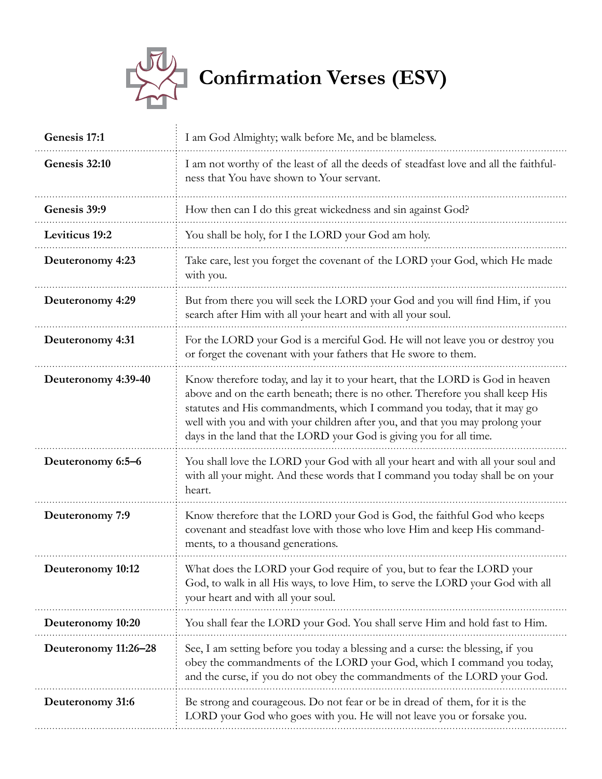

| Genesis 17:1          | I am God Almighty; walk before Me, and be blameless.                                                                                                                                                                                                                                                                                                                                                  |
|-----------------------|-------------------------------------------------------------------------------------------------------------------------------------------------------------------------------------------------------------------------------------------------------------------------------------------------------------------------------------------------------------------------------------------------------|
| Genesis 32:10         | I am not worthy of the least of all the deeds of steadfast love and all the faithful-<br>ness that You have shown to Your servant.                                                                                                                                                                                                                                                                    |
| Genesis 39:9          | How then can I do this great wickedness and sin against God?                                                                                                                                                                                                                                                                                                                                          |
| <b>Leviticus</b> 19:2 | You shall be holy, for I the LORD your God am holy.                                                                                                                                                                                                                                                                                                                                                   |
| Deuteronomy 4:23      | Take care, lest you forget the covenant of the LORD your God, which He made<br>with you.                                                                                                                                                                                                                                                                                                              |
| Deuteronomy 4:29      | But from there you will seek the LORD your God and you will find Him, if you<br>search after Him with all your heart and with all your soul.                                                                                                                                                                                                                                                          |
| Deuteronomy 4:31      | For the LORD your God is a merciful God. He will not leave you or destroy you<br>or forget the covenant with your fathers that He swore to them.                                                                                                                                                                                                                                                      |
| Deuteronomy 4:39-40   | Know therefore today, and lay it to your heart, that the LORD is God in heaven<br>above and on the earth beneath; there is no other. Therefore you shall keep His<br>statutes and His commandments, which I command you today, that it may go<br>well with you and with your children after you, and that you may prolong your<br>days in the land that the LORD your God is giving you for all time. |
| Deuteronomy 6:5-6     | You shall love the LORD your God with all your heart and with all your soul and<br>with all your might. And these words that I command you today shall be on your<br>heart.                                                                                                                                                                                                                           |
| Deuteronomy 7:9       | Know therefore that the LORD your God is God, the faithful God who keeps<br>covenant and steadfast love with those who love Him and keep His command-<br>ments, to a thousand generations.                                                                                                                                                                                                            |
| Deuteronomy 10:12     | What does the LORD your God require of you, but to fear the LORD your<br>God, to walk in all His ways, to love Him, to serve the LORD your God with all<br>your heart and with all your soul.                                                                                                                                                                                                         |
| Deuteronomy 10:20     | You shall fear the LORD your God. You shall serve Him and hold fast to Him.                                                                                                                                                                                                                                                                                                                           |
| Deuteronomy 11:26-28  | See, I am setting before you today a blessing and a curse: the blessing, if you<br>obey the commandments of the LORD your God, which I command you today,<br>and the curse, if you do not obey the commandments of the LORD your God.                                                                                                                                                                 |
| Deuteronomy 31:6      | Be strong and courageous. Do not fear or be in dread of them, for it is the<br>LORD your God who goes with you. He will not leave you or forsake you.                                                                                                                                                                                                                                                 |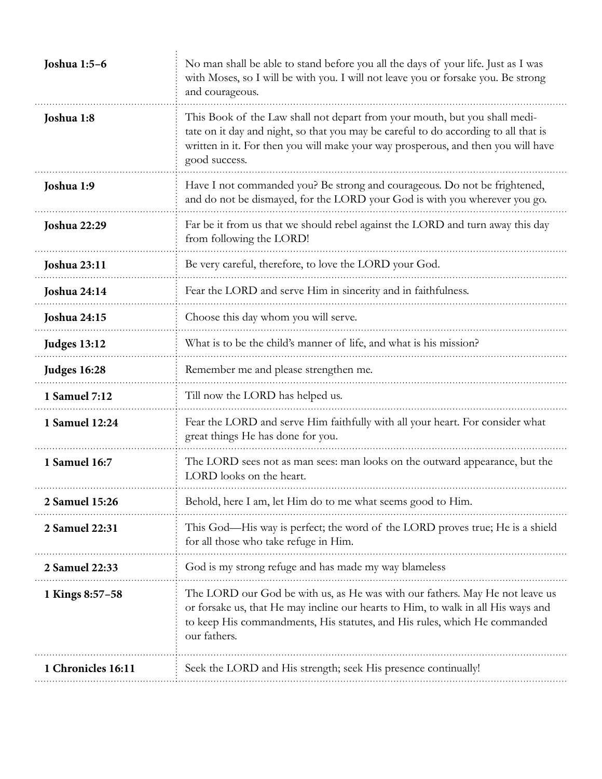| Joshua 1:5-6        | No man shall be able to stand before you all the days of your life. Just as I was<br>with Moses, so I will be with you. I will not leave you or forsake you. Be strong<br>and courageous.                                                                               |
|---------------------|-------------------------------------------------------------------------------------------------------------------------------------------------------------------------------------------------------------------------------------------------------------------------|
| Joshua 1:8          | This Book of the Law shall not depart from your mouth, but you shall medi-<br>tate on it day and night, so that you may be careful to do according to all that is<br>written in it. For then you will make your way prosperous, and then you will have<br>good success. |
| Joshua 1:9          | Have I not commanded you? Be strong and courageous. Do not be frightened,<br>and do not be dismayed, for the LORD your God is with you wherever you go.                                                                                                                 |
| <b>Joshua 22:29</b> | Far be it from us that we should rebel against the LORD and turn away this day<br>from following the LORD!                                                                                                                                                              |
| <b>Joshua 23:11</b> | Be very careful, therefore, to love the LORD your God.                                                                                                                                                                                                                  |
| <b>Joshua 24:14</b> | Fear the LORD and serve Him in sincerity and in faithfulness.                                                                                                                                                                                                           |
| <b>Joshua 24:15</b> | Choose this day whom you will serve.                                                                                                                                                                                                                                    |
| <b>Judges 13:12</b> | What is to be the child's manner of life, and what is his mission?                                                                                                                                                                                                      |
| <b>Judges 16:28</b> | Remember me and please strengthen me.                                                                                                                                                                                                                                   |
| 1 Samuel 7:12       | Till now the LORD has helped us.                                                                                                                                                                                                                                        |
| 1 Samuel 12:24      | Fear the LORD and serve Him faithfully with all your heart. For consider what<br>great things He has done for you.                                                                                                                                                      |
| 1 Samuel 16:7       | The LORD sees not as man sees: man looks on the outward appearance, but the<br>LORD looks on the heart.                                                                                                                                                                 |
| 2 Samuel 15:26      | Behold, here I am, let Him do to me what seems good to Him.                                                                                                                                                                                                             |
| 2 Samuel 22:31      | This God—His way is perfect; the word of the LORD proves true; He is a shield<br>for all those who take refuge in Him.                                                                                                                                                  |
| 2 Samuel 22:33      | God is my strong refuge and has made my way blameless                                                                                                                                                                                                                   |
| 1 Kings 8:57-58     | The LORD our God be with us, as He was with our fathers. May He not leave us<br>or forsake us, that He may incline our hearts to Him, to walk in all His ways and<br>to keep His commandments, His statutes, and His rules, which He commanded<br>our fathers.          |
| 1 Chronicles 16:11  | Seek the LORD and His strength; seek His presence continually!                                                                                                                                                                                                          |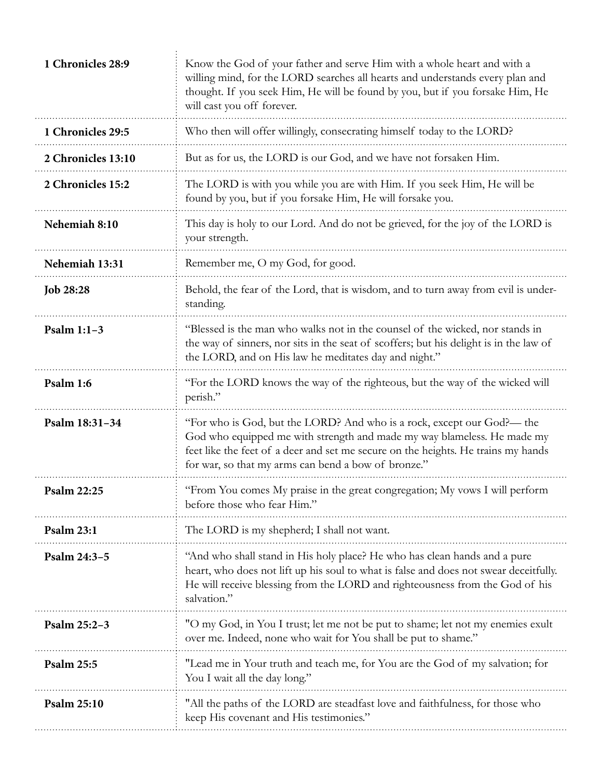| 1 Chronicles 28:9  | Know the God of your father and serve Him with a whole heart and with a<br>willing mind, for the LORD searches all hearts and understands every plan and<br>thought. If you seek Him, He will be found by you, but if you forsake Him, He<br>will cast you off forever.                       |
|--------------------|-----------------------------------------------------------------------------------------------------------------------------------------------------------------------------------------------------------------------------------------------------------------------------------------------|
| 1 Chronicles 29:5  | Who then will offer willingly, consecrating himself today to the LORD?                                                                                                                                                                                                                        |
| 2 Chronicles 13:10 | But as for us, the LORD is our God, and we have not forsaken Him.                                                                                                                                                                                                                             |
| 2 Chronicles 15:2  | The LORD is with you while you are with Him. If you seek Him, He will be<br>found by you, but if you forsake Him, He will forsake you.                                                                                                                                                        |
| Nehemiah 8:10      | This day is holy to our Lord. And do not be grieved, for the joy of the LORD is<br>your strength.                                                                                                                                                                                             |
| Nehemiah 13:31     | Remember me, O my God, for good.                                                                                                                                                                                                                                                              |
| <b>Job 28:28</b>   | Behold, the fear of the Lord, that is wisdom, and to turn away from evil is under-<br>standing.                                                                                                                                                                                               |
| Psalm $1:1-3$      | "Blessed is the man who walks not in the counsel of the wicked, nor stands in<br>the way of sinners, nor sits in the seat of scoffers; but his delight is in the law of<br>the LORD, and on His law he meditates day and night."                                                              |
| Psalm 1:6          | "For the LORD knows the way of the righteous, but the way of the wicked will<br>perish."                                                                                                                                                                                                      |
| Psalm 18:31-34     | "For who is God, but the LORD? And who is a rock, except our God?— the<br>God who equipped me with strength and made my way blameless. He made my<br>feet like the feet of a deer and set me secure on the heights. He trains my hands<br>for war, so that my arms can bend a bow of bronze." |
| Psalm 22:25        | "From You comes My praise in the great congregation; My vows I will perform<br>before those who fear Him."                                                                                                                                                                                    |
| <b>Psalm 23:1</b>  | The LORD is my shepherd; I shall not want.                                                                                                                                                                                                                                                    |
| Psalm 24:3-5       | "And who shall stand in His holy place? He who has clean hands and a pure<br>heart, who does not lift up his soul to what is false and does not swear deceitfully.<br>He will receive blessing from the LORD and righteousness from the God of his<br>salvation."                             |
| Psalm 25:2-3       | "O my God, in You I trust; let me not be put to shame; let not my enemies exult<br>over me. Indeed, none who wait for You shall be put to shame."                                                                                                                                             |
| <b>Psalm 25:5</b>  | "Lead me in Your truth and teach me, for You are the God of my salvation; for<br>You I wait all the day long."                                                                                                                                                                                |
| Psalm 25:10        | "All the paths of the LORD are steadfast love and faithfulness, for those who<br>keep His covenant and His testimonies."                                                                                                                                                                      |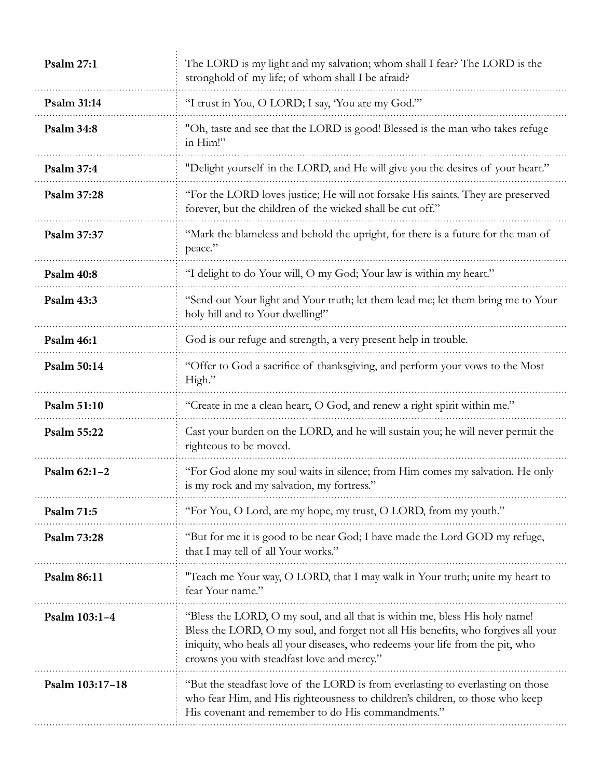| <b>Psalm 27:1</b>  | The LORD is my light and my salvation; whom shall I fear? The LORD is the<br>stronghold of my life; of whom shall I be afraid?                                                                                                                                                                   |
|--------------------|--------------------------------------------------------------------------------------------------------------------------------------------------------------------------------------------------------------------------------------------------------------------------------------------------|
| Psalm 31:14        | "I trust in You, O LORD; I say, 'You are my God.""                                                                                                                                                                                                                                               |
| <b>Psalm 34:8</b>  | "Oh, taste and see that the LORD is good! Blessed is the man who takes refuge<br>in Him!"                                                                                                                                                                                                        |
| <b>Psalm 37:4</b>  | "Delight yourself in the LORD, and He will give you the desires of your heart."                                                                                                                                                                                                                  |
| <b>Psalm 37:28</b> | "For the LORD loves justice; He will not forsake His saints. They are preserved<br>forever, but the children of the wicked shall be cut off."                                                                                                                                                    |
| Psalm 37:37        | "Mark the blameless and behold the upright, for there is a future for the man of<br>peace."                                                                                                                                                                                                      |
| <b>Psalm 40:8</b>  | "I delight to do Your will, O my God; Your law is within my heart."                                                                                                                                                                                                                              |
| <b>Psalm 43:3</b>  | "Send out Your light and Your truth; let them lead me; let them bring me to Your<br>holy hill and to Your dwelling!"                                                                                                                                                                             |
| <b>Psalm 46:1</b>  | God is our refuge and strength, a very present help in trouble.                                                                                                                                                                                                                                  |
| <b>Psalm 50:14</b> | "Offer to God a sacrifice of thanksgiving, and perform your vows to the Most<br>High."                                                                                                                                                                                                           |
| Psalm 51:10        | "Create in me a clean heart, O God, and renew a right spirit within me."                                                                                                                                                                                                                         |
| <b>Psalm 55:22</b> | Cast your burden on the LORD, and he will sustain you; he will never permit the<br>righteous to be moved.                                                                                                                                                                                        |
| Psalm 62:1-2       | "For God alone my soul waits in silence; from Him comes my salvation. He only<br>is my rock and my salvation, my fortress."                                                                                                                                                                      |
| <b>Psalm 71:5</b>  | "For You, O Lord, are my hope, my trust, O LORD, from my youth."                                                                                                                                                                                                                                 |
| <b>Psalm 73:28</b> | "But for me it is good to be near God; I have made the Lord GOD my refuge,<br>that I may tell of all Your works."                                                                                                                                                                                |
| <b>Psalm 86:11</b> | "Teach me Your way, O LORD, that I may walk in Your truth; unite my heart to<br>fear Your name."                                                                                                                                                                                                 |
| Psalm 103:1-4      | "Bless the LORD, O my soul, and all that is within me, bless His holy name!<br>Bless the LORD, O my soul, and forget not all His benefits, who forgives all your<br>iniquity, who heals all your diseases, who redeems your life from the pit, who<br>crowns you with steadfast love and mercy." |
| Psalm 103:17-18    | "But the steadfast love of the LORD is from everlasting to everlasting on those<br>who fear Him, and His righteousness to children's children, to those who keep<br>His covenant and remember to do His commandments."                                                                           |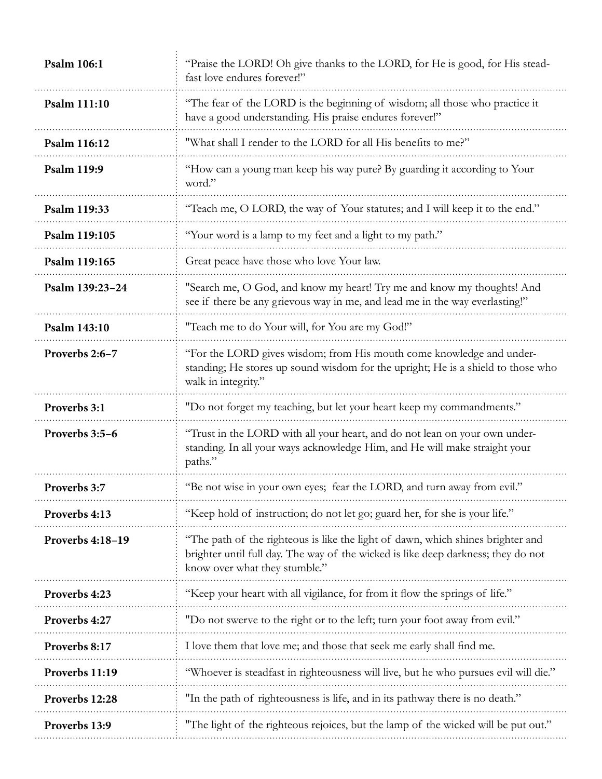| Psalm 106:1        | "Praise the LORD! Oh give thanks to the LORD, for He is good, for His stead-<br>fast love endures forever!"                                                                                           |
|--------------------|-------------------------------------------------------------------------------------------------------------------------------------------------------------------------------------------------------|
| Psalm 111:10       | "The fear of the LORD is the beginning of wisdom; all those who practice it<br>have a good understanding. His praise endures forever!"                                                                |
| Psalm 116:12       | "What shall I render to the LORD for all His benefits to me?"                                                                                                                                         |
| <b>Psalm 119:9</b> | "How can a young man keep his way pure? By guarding it according to Your<br>word."                                                                                                                    |
| Psalm 119:33       | "Teach me, O LORD, the way of Your statutes; and I will keep it to the end."                                                                                                                          |
| Psalm 119:105      | "Your word is a lamp to my feet and a light to my path."                                                                                                                                              |
| Psalm 119:165      | Great peace have those who love Your law.                                                                                                                                                             |
| Psalm 139:23-24    | "Search me, O God, and know my heart! Try me and know my thoughts! And<br>see if there be any grievous way in me, and lead me in the way everlasting!"                                                |
| Psalm 143:10       | "Teach me to do Your will, for You are my God!"                                                                                                                                                       |
| Proverbs 2:6-7     | "For the LORD gives wisdom; from His mouth come knowledge and under-<br>standing; He stores up sound wisdom for the upright; He is a shield to those who<br>walk in integrity."                       |
| Proverbs 3:1       | "Do not forget my teaching, but let your heart keep my commandments."                                                                                                                                 |
| Proverbs 3:5-6     | "Trust in the LORD with all your heart, and do not lean on your own under-<br>standing. In all your ways acknowledge Him, and He will make straight your<br>paths."                                   |
| Proverbs 3:7       | "Be not wise in your own eyes; fear the LORD, and turn away from evil."                                                                                                                               |
| Proverbs 4:13      | "Keep hold of instruction; do not let go; guard her, for she is your life."                                                                                                                           |
| Proverbs 4:18-19   | "The path of the righteous is like the light of dawn, which shines brighter and<br>brighter until full day. The way of the wicked is like deep darkness; they do not<br>know over what they stumble." |
| Proverbs 4:23      | "Keep your heart with all vigilance, for from it flow the springs of life."                                                                                                                           |
| Proverbs 4:27      | "Do not swerve to the right or to the left; turn your foot away from evil."                                                                                                                           |
| Proverbs 8:17      | I love them that love me; and those that seek me early shall find me.                                                                                                                                 |
| Proverbs 11:19     | "Whoever is steadfast in righteousness will live, but he who pursues evil will die."                                                                                                                  |
| Proverbs 12:28     | "In the path of righteousness is life, and in its pathway there is no death."                                                                                                                         |
| Proverbs 13:9      | "The light of the righteous rejoices, but the lamp of the wicked will be put out."                                                                                                                    |
|                    |                                                                                                                                                                                                       |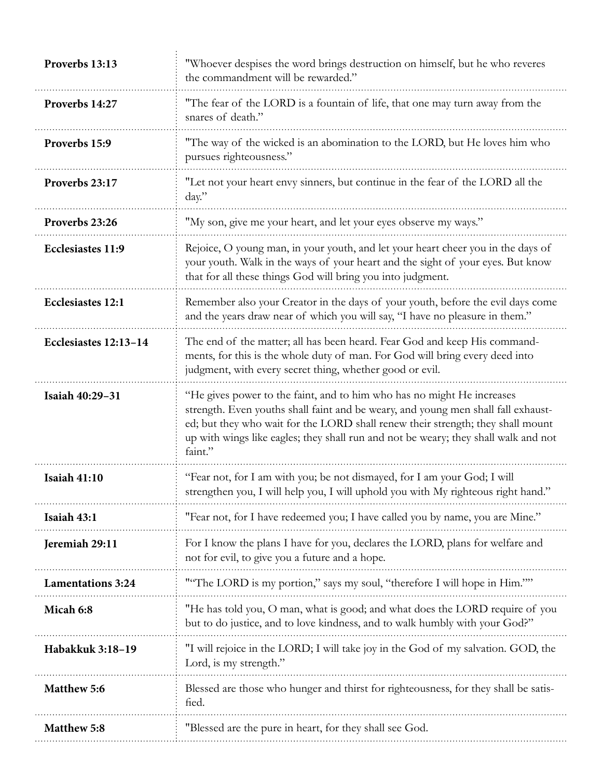| Proverbs 13:13           | "Whoever despises the word brings destruction on himself, but he who reveres<br>the commandment will be rewarded."                                                                                                                                                                                                                               |
|--------------------------|--------------------------------------------------------------------------------------------------------------------------------------------------------------------------------------------------------------------------------------------------------------------------------------------------------------------------------------------------|
| Proverbs 14:27           | "The fear of the LORD is a fountain of life, that one may turn away from the<br>snares of death."                                                                                                                                                                                                                                                |
| Proverbs 15:9            | "The way of the wicked is an abomination to the LORD, but He loves him who<br>pursues righteousness."                                                                                                                                                                                                                                            |
| Proverbs 23:17           | "Let not your heart envy sinners, but continue in the fear of the LORD all the<br>$day$ ."                                                                                                                                                                                                                                                       |
| Proverbs 23:26           | "My son, give me your heart, and let your eyes observe my ways."                                                                                                                                                                                                                                                                                 |
| Ecclesiastes 11:9        | Rejoice, O young man, in your youth, and let your heart cheer you in the days of<br>your youth. Walk in the ways of your heart and the sight of your eyes. But know<br>that for all these things God will bring you into judgment.                                                                                                               |
| <b>Ecclesiastes 12:1</b> | Remember also your Creator in the days of your youth, before the evil days come<br>and the years draw near of which you will say, "I have no pleasure in them."                                                                                                                                                                                  |
| Ecclesiastes 12:13-14    | The end of the matter; all has been heard. Fear God and keep His command-<br>ments, for this is the whole duty of man. For God will bring every deed into<br>judgment, with every secret thing, whether good or evil.                                                                                                                            |
| Isaiah 40:29-31          | "He gives power to the faint, and to him who has no might He increases<br>strength. Even youths shall faint and be weary, and young men shall fall exhaust-<br>ed; but they who wait for the LORD shall renew their strength; they shall mount<br>up with wings like eagles; they shall run and not be weary; they shall walk and not<br>faint." |
| <b>Isaiah 41:10</b>      | "Fear not, for I am with you; be not dismayed, for I am your God; I will<br>strengthen you, I will help you, I will uphold you with My righteous right hand."                                                                                                                                                                                    |
| Isaiah 43:1              | "Fear not, for I have redeemed you; I have called you by name, you are Mine."                                                                                                                                                                                                                                                                    |
| Jeremiah 29:11           | For I know the plans I have for you, declares the LORD, plans for welfare and<br>not for evil, to give you a future and a hope.                                                                                                                                                                                                                  |
| <b>Lamentations 3:24</b> | ""The LORD is my portion," says my soul, "therefore I will hope in Him.""                                                                                                                                                                                                                                                                        |
| Micah 6:8                | "He has told you, O man, what is good; and what does the LORD require of you<br>but to do justice, and to love kindness, and to walk humbly with your God?"                                                                                                                                                                                      |
| Habakkuk 3:18-19         | "I will rejoice in the LORD; I will take joy in the God of my salvation. GOD, the<br>Lord, is my strength."                                                                                                                                                                                                                                      |
| <b>Matthew 5:6</b>       | Blessed are those who hunger and thirst for righteousness, for they shall be satis-<br>fied.                                                                                                                                                                                                                                                     |
| <b>Matthew 5:8</b>       | "Blessed are the pure in heart, for they shall see God.                                                                                                                                                                                                                                                                                          |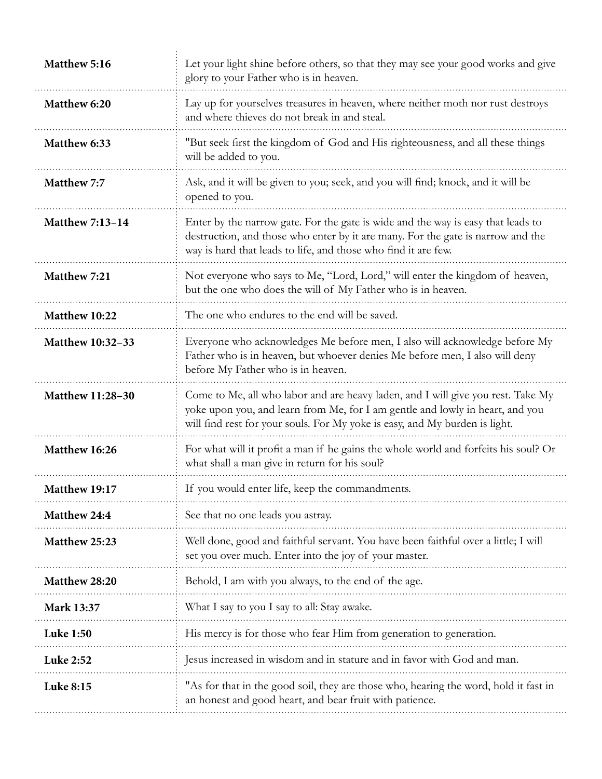| Matthew 5:16            | Let your light shine before others, so that they may see your good works and give<br>glory to your Father who is in heaven.                                                                                                                      |
|-------------------------|--------------------------------------------------------------------------------------------------------------------------------------------------------------------------------------------------------------------------------------------------|
| Matthew 6:20            | Lay up for yourselves treasures in heaven, where neither moth nor rust destroys<br>and where thieves do not break in and steal.                                                                                                                  |
| Matthew 6:33            | "But seek first the kingdom of God and His righteousness, and all these things<br>will be added to you.                                                                                                                                          |
| Matthew 7:7             | Ask, and it will be given to you; seek, and you will find; knock, and it will be<br>opened to you.                                                                                                                                               |
| <b>Matthew 7:13-14</b>  | Enter by the narrow gate. For the gate is wide and the way is easy that leads to<br>destruction, and those who enter by it are many. For the gate is narrow and the<br>way is hard that leads to life, and those who find it are few.            |
| Matthew 7:21            | Not everyone who says to Me, "Lord, Lord," will enter the kingdom of heaven,<br>but the one who does the will of My Father who is in heaven.                                                                                                     |
| Matthew 10:22           | The one who endures to the end will be saved.                                                                                                                                                                                                    |
| <b>Matthew 10:32-33</b> | Everyone who acknowledges Me before men, I also will acknowledge before My<br>Father who is in heaven, but whoever denies Me before men, I also will deny<br>before My Father who is in heaven.                                                  |
| <b>Matthew 11:28-30</b> | Come to Me, all who labor and are heavy laden, and I will give you rest. Take My<br>yoke upon you, and learn from Me, for I am gentle and lowly in heart, and you<br>will find rest for your souls. For My yoke is easy, and My burden is light. |
| Matthew 16:26           | For what will it profit a man if he gains the whole world and forfeits his soul? Or<br>what shall a man give in return for his soul?                                                                                                             |
| Matthew 19:17           | If you would enter life, keep the commandments.                                                                                                                                                                                                  |
| Matthew 24:4            | See that no one leads you astray.                                                                                                                                                                                                                |
| Matthew 25:23           | Well done, good and faithful servant. You have been faithful over a little; I will<br>set you over much. Enter into the joy of your master.                                                                                                      |
| Matthew 28:20           | Behold, I am with you always, to the end of the age.                                                                                                                                                                                             |
| Mark 13:37              | What I say to you I say to all: Stay awake.                                                                                                                                                                                                      |
| <b>Luke 1:50</b>        | His mercy is for those who fear Him from generation to generation.                                                                                                                                                                               |
| Luke 2:52               | Jesus increased in wisdom and in stature and in favor with God and man.                                                                                                                                                                          |
| <b>Luke 8:15</b>        | "As for that in the good soil, they are those who, hearing the word, hold it fast in<br>an honest and good heart, and bear fruit with patience.                                                                                                  |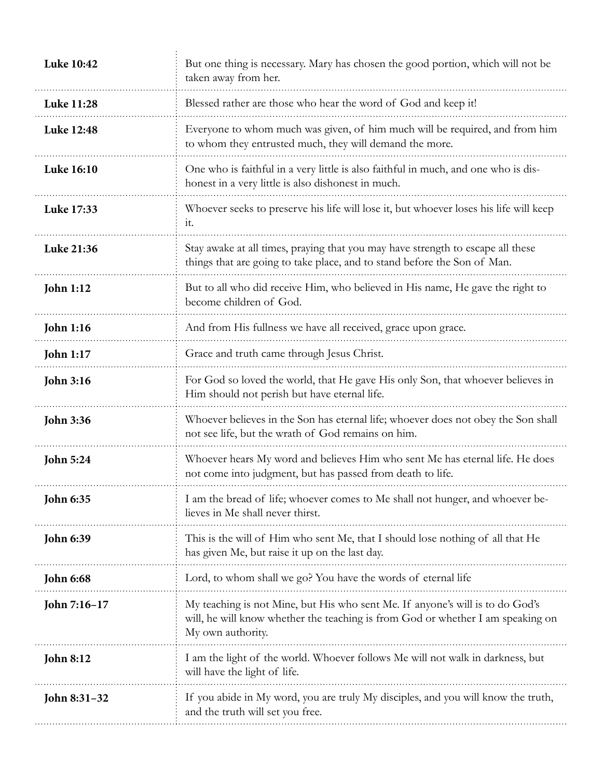| <b>Luke 10:42</b> | But one thing is necessary. Mary has chosen the good portion, which will not be<br>taken away from her.                                                                               |
|-------------------|---------------------------------------------------------------------------------------------------------------------------------------------------------------------------------------|
| Luke 11:28        | Blessed rather are those who hear the word of God and keep it!                                                                                                                        |
| Luke 12:48        | Everyone to whom much was given, of him much will be required, and from him<br>to whom they entrusted much, they will demand the more.                                                |
| Luke 16:10        | One who is faithful in a very little is also faithful in much, and one who is dis-<br>honest in a very little is also dishonest in much.                                              |
| Luke 17:33        | Whoever seeks to preserve his life will lose it, but whoever loses his life will keep<br>it.                                                                                          |
| Luke 21:36        | Stay awake at all times, praying that you may have strength to escape all these<br>things that are going to take place, and to stand before the Son of Man.                           |
| <b>John 1:12</b>  | But to all who did receive Him, who believed in His name, He gave the right to<br>become children of God.                                                                             |
| <b>John 1:16</b>  | And from His fullness we have all received, grace upon grace.                                                                                                                         |
| <b>John 1:17</b>  | Grace and truth came through Jesus Christ.                                                                                                                                            |
| <b>John 3:16</b>  | For God so loved the world, that He gave His only Son, that whoever believes in<br>Him should not perish but have eternal life.                                                       |
| <b>John 3:36</b>  | Whoever believes in the Son has eternal life; whoever does not obey the Son shall<br>not see life, but the wrath of God remains on him.                                               |
| <b>John 5:24</b>  | Whoever hears My word and believes Him who sent Me has eternal life. He does<br>not come into judgment, but has passed from death to life.                                            |
| <b>John 6:35</b>  | I am the bread of life; whoever comes to Me shall not hunger, and whoever be-<br>lieves in Me shall never thirst.                                                                     |
| <b>John 6:39</b>  | This is the will of Him who sent Me, that I should lose nothing of all that He<br>has given Me, but raise it up on the last day.                                                      |
| <b>John 6:68</b>  | Lord, to whom shall we go? You have the words of eternal life                                                                                                                         |
| John 7:16-17      | My teaching is not Mine, but His who sent Me. If anyone's will is to do God's<br>will, he will know whether the teaching is from God or whether I am speaking on<br>My own authority. |
| <b>John 8:12</b>  | I am the light of the world. Whoever follows Me will not walk in darkness, but<br>will have the light of life.                                                                        |
| John 8:31-32      | If you abide in My word, you are truly My disciples, and you will know the truth,<br>and the truth will set you free.                                                                 |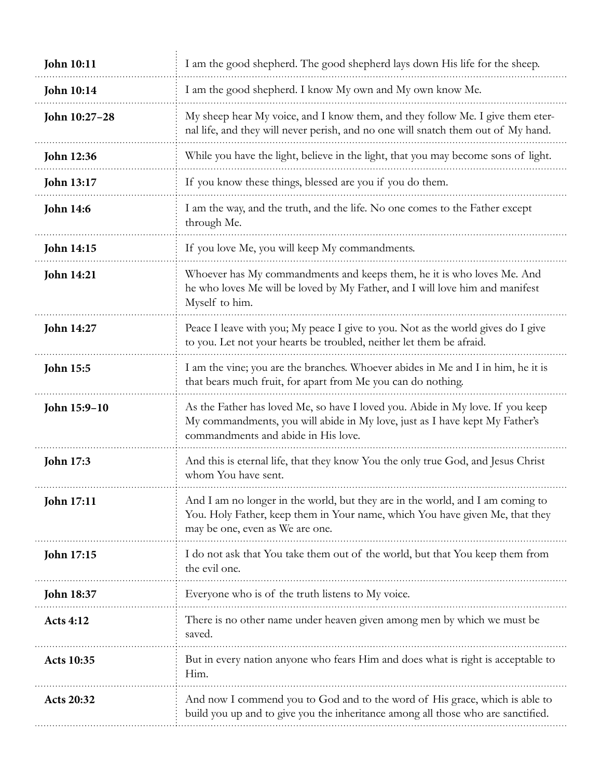| <b>John 10:11</b> | I am the good shepherd. The good shepherd lays down His life for the sheep.                                                                                                                          |
|-------------------|------------------------------------------------------------------------------------------------------------------------------------------------------------------------------------------------------|
| <b>John 10:14</b> | I am the good shepherd. I know My own and My own know Me.                                                                                                                                            |
| John 10:27-28     | My sheep hear My voice, and I know them, and they follow Me. I give them eter-<br>nal life, and they will never perish, and no one will snatch them out of My hand.                                  |
| John 12:36        | While you have the light, believe in the light, that you may become sons of light.                                                                                                                   |
| <b>John 13:17</b> | If you know these things, blessed are you if you do them.                                                                                                                                            |
| <b>John 14:6</b>  | I am the way, and the truth, and the life. No one comes to the Father except<br>through Me.                                                                                                          |
| John 14:15        | If you love Me, you will keep My commandments.                                                                                                                                                       |
| <b>John 14:21</b> | Whoever has My commandments and keeps them, he it is who loves Me. And<br>he who loves Me will be loved by My Father, and I will love him and manifest<br>Myself to him.                             |
| <b>John 14:27</b> | Peace I leave with you; My peace I give to you. Not as the world gives do I give<br>to you. Let not your hearts be troubled, neither let them be afraid.                                             |
| <b>John 15:5</b>  | I am the vine; you are the branches. Whoever abides in Me and I in him, he it is<br>that bears much fruit, for apart from Me you can do nothing.                                                     |
| John 15:9-10      | As the Father has loved Me, so have I loved you. Abide in My love. If you keep<br>My commandments, you will abide in My love, just as I have kept My Father's<br>commandments and abide in His love. |
| <b>John 17:3</b>  | And this is eternal life, that they know You the only true God, and Jesus Christ<br>whom You have sent.                                                                                              |
| John 17:11        | And I am no longer in the world, but they are in the world, and I am coming to<br>You. Holy Father, keep them in Your name, which You have given Me, that they<br>may be one, even as We are one.    |
| John 17:15        | I do not ask that You take them out of the world, but that You keep them from<br>the evil one.                                                                                                       |
| <b>John 18:37</b> | Everyone who is of the truth listens to My voice.                                                                                                                                                    |
| <b>Acts 4:12</b>  | There is no other name under heaven given among men by which we must be<br>saved.                                                                                                                    |
| <b>Acts 10:35</b> | But in every nation anyone who fears Him and does what is right is acceptable to<br>Him.                                                                                                             |
| Acts 20:32        | And now I commend you to God and to the word of His grace, which is able to<br>build you up and to give you the inheritance among all those who are sanctified.                                      |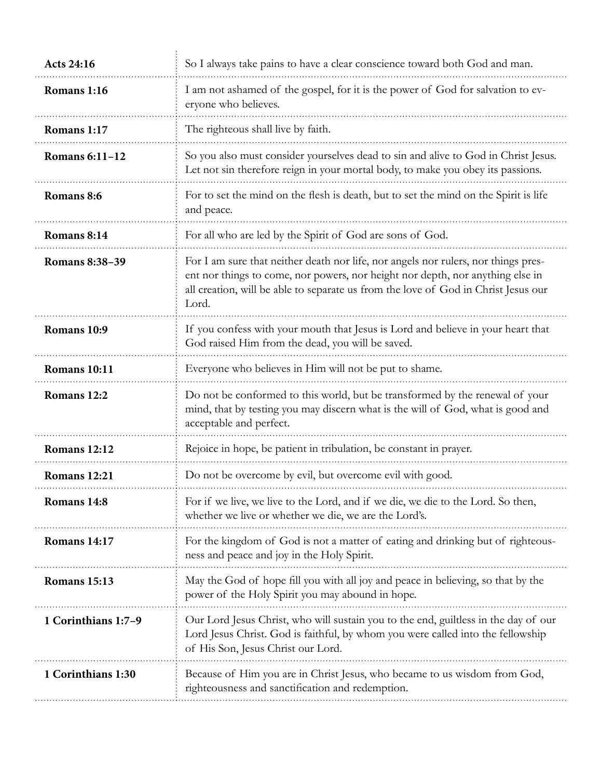| <b>Acts 24:16</b>     | So I always take pains to have a clear conscience toward both God and man.                                                                                                                                                                                          |
|-----------------------|---------------------------------------------------------------------------------------------------------------------------------------------------------------------------------------------------------------------------------------------------------------------|
| Romans 1:16           | I am not ashamed of the gospel, for it is the power of God for salvation to ev-<br>eryone who believes.                                                                                                                                                             |
| Romans 1:17           | The righteous shall live by faith.                                                                                                                                                                                                                                  |
| <b>Romans 6:11-12</b> | So you also must consider yourselves dead to sin and alive to God in Christ Jesus.<br>Let not sin therefore reign in your mortal body, to make you obey its passions.                                                                                               |
| Romans 8:6            | For to set the mind on the flesh is death, but to set the mind on the Spirit is life<br>and peace.                                                                                                                                                                  |
| Romans 8:14           | For all who are led by the Spirit of God are sons of God.                                                                                                                                                                                                           |
| <b>Romans 8:38-39</b> | For I am sure that neither death nor life, nor angels nor rulers, nor things pres-<br>ent nor things to come, nor powers, nor height nor depth, nor anything else in<br>all creation, will be able to separate us from the love of God in Christ Jesus our<br>Lord. |
| Romans 10:9           | If you confess with your mouth that Jesus is Lord and believe in your heart that<br>God raised Him from the dead, you will be saved.                                                                                                                                |
| Romans 10:11          | Everyone who believes in Him will not be put to shame.                                                                                                                                                                                                              |
| Romans 12:2           | Do not be conformed to this world, but be transformed by the renewal of your<br>mind, that by testing you may discern what is the will of God, what is good and<br>acceptable and perfect.                                                                          |
| Romans 12:12          | Rejoice in hope, be patient in tribulation, be constant in prayer.                                                                                                                                                                                                  |
| Romans 12:21          | Do not be overcome by evil, but overcome evil with good.                                                                                                                                                                                                            |
| Romans 14:8           | For if we live, we live to the Lord, and if we die, we die to the Lord. So then,<br>whether we live or whether we die, we are the Lord's.                                                                                                                           |
| Romans 14:17          | For the kingdom of God is not a matter of eating and drinking but of righteous-<br>ness and peace and joy in the Holy Spirit.                                                                                                                                       |
| Romans 15:13          | May the God of hope fill you with all joy and peace in believing, so that by the<br>power of the Holy Spirit you may abound in hope.                                                                                                                                |
| 1 Corinthians 1:7-9   | Our Lord Jesus Christ, who will sustain you to the end, guiltless in the day of our<br>Lord Jesus Christ. God is faithful, by whom you were called into the fellowship<br>of His Son, Jesus Christ our Lord.                                                        |
| 1 Corinthians 1:30    | Because of Him you are in Christ Jesus, who became to us wisdom from God,<br>righteousness and sanctification and redemption.                                                                                                                                       |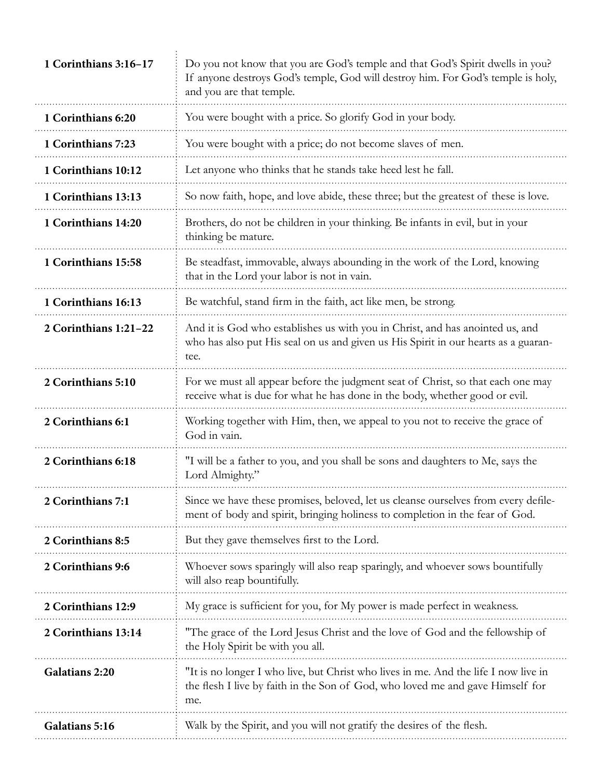| 1 Corinthians 3:16-17 | Do you not know that you are God's temple and that God's Spirit dwells in you?<br>If anyone destroys God's temple, God will destroy him. For God's temple is holy,<br>and you are that temple. |
|-----------------------|------------------------------------------------------------------------------------------------------------------------------------------------------------------------------------------------|
| 1 Corinthians 6:20    | You were bought with a price. So glorify God in your body.                                                                                                                                     |
| 1 Corinthians 7:23    | You were bought with a price; do not become slaves of men.                                                                                                                                     |
| 1 Corinthians 10:12   | Let anyone who thinks that he stands take heed lest he fall.                                                                                                                                   |
| 1 Corinthians 13:13   | So now faith, hope, and love abide, these three; but the greatest of these is love.                                                                                                            |
| 1 Corinthians 14:20   | Brothers, do not be children in your thinking. Be infants in evil, but in your<br>thinking be mature.                                                                                          |
| 1 Corinthians 15:58   | Be steadfast, immovable, always abounding in the work of the Lord, knowing<br>that in the Lord your labor is not in vain.                                                                      |
| 1 Corinthians 16:13   | Be watchful, stand firm in the faith, act like men, be strong.                                                                                                                                 |
| 2 Corinthians 1:21-22 | And it is God who establishes us with you in Christ, and has anointed us, and<br>who has also put His seal on us and given us His Spirit in our hearts as a guaran-<br>tee.                    |
| 2 Corinthians 5:10    | For we must all appear before the judgment seat of Christ, so that each one may<br>receive what is due for what he has done in the body, whether good or evil.                                 |
| 2 Corinthians 6:1     | Working together with Him, then, we appeal to you not to receive the grace of<br>God in vain.                                                                                                  |
| 2 Corinthians 6:18    | "I will be a father to you, and you shall be sons and daughters to Me, says the<br>Lord Almighty."                                                                                             |
| 2 Corinthians 7:1     | Since we have these promises, beloved, let us cleanse ourselves from every defile-<br>ment of body and spirit, bringing holiness to completion in the fear of God.                             |
| 2 Corinthians 8:5     | But they gave themselves first to the Lord.                                                                                                                                                    |
| 2 Corinthians 9:6     | Whoever sows sparingly will also reap sparingly, and whoever sows bountifully<br>will also reap bountifully.                                                                                   |
| 2 Corinthians 12:9    | My grace is sufficient for you, for My power is made perfect in weakness.                                                                                                                      |
| 2 Corinthians 13:14   | "The grace of the Lord Jesus Christ and the love of God and the fellowship of<br>the Holy Spirit be with you all.                                                                              |
| Galatians 2:20        | "It is no longer I who live, but Christ who lives in me. And the life I now live in<br>the flesh I live by faith in the Son of God, who loved me and gave Himself for<br>me.                   |
| Galatians 5:16        | Walk by the Spirit, and you will not gratify the desires of the flesh.                                                                                                                         |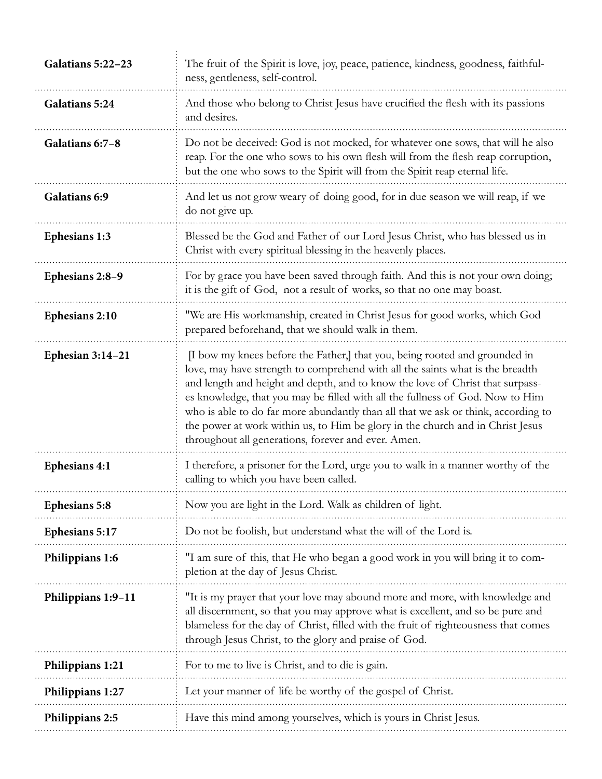| And those who belong to Christ Jesus have crucified the flesh with its passions<br><b>Galatians 5:24</b><br>and desires.<br>Do not be deceived: God is not mocked, for whatever one sows, that will he also<br>Galatians 6:7-8<br>reap. For the one who sows to his own flesh will from the flesh reap corruption,<br>but the one who sows to the Spirit will from the Spirit reap eternal life.<br>And let us not grow weary of doing good, for in due season we will reap, if we<br>Galatians 6:9<br>do not give up.<br>Blessed be the God and Father of our Lord Jesus Christ, who has blessed us in<br><b>Ephesians 1:3</b><br>Christ with every spiritual blessing in the heavenly places.<br>For by grace you have been saved through faith. And this is not your own doing;<br>Ephesians 2:8-9<br>it is the gift of God, not a result of works, so that no one may boast.<br>"We are His workmanship, created in Christ Jesus for good works, which God<br>Ephesians 2:10<br>prepared beforehand, that we should walk in them.<br>[I bow my knees before the Father,] that you, being rooted and grounded in<br>Ephesian $3:14-21$<br>love, may have strength to comprehend with all the saints what is the breadth<br>and length and height and depth, and to know the love of Christ that surpass-<br>es knowledge, that you may be filled with all the fullness of God. Now to Him<br>who is able to do far more abundantly than all that we ask or think, according to<br>the power at work within us, to Him be glory in the church and in Christ Jesus<br>throughout all generations, forever and ever. Amen.<br>I therefore, a prisoner for the Lord, urge you to walk in a manner worthy of the<br><b>Ephesians 4:1</b><br>calling to which you have been called.<br>Now you are light in the Lord. Walk as children of light.<br><b>Ephesians 5:8</b><br>Do not be foolish, but understand what the will of the Lord is.<br>Ephesians 5:17<br>"I am sure of this, that He who began a good work in you will bring it to com-<br>Philippians 1:6<br>pletion at the day of Jesus Christ.<br>"It is my prayer that your love may abound more and more, with knowledge and<br>Philippians 1:9-11<br>all discernment, so that you may approve what is excellent, and so be pure and<br>blameless for the day of Christ, filled with the fruit of righteousness that comes<br>through Jesus Christ, to the glory and praise of God.<br>For to me to live is Christ, and to die is gain.<br>Philippians 1:21<br>Let your manner of life be worthy of the gospel of Christ.<br>Philippians 1:27<br>Have this mind among yourselves, which is yours in Christ Jesus.<br>Philippians 2:5 | Galatians 5:22-23 | The fruit of the Spirit is love, joy, peace, patience, kindness, goodness, faithful-<br>ness, gentleness, self-control. |
|------------------------------------------------------------------------------------------------------------------------------------------------------------------------------------------------------------------------------------------------------------------------------------------------------------------------------------------------------------------------------------------------------------------------------------------------------------------------------------------------------------------------------------------------------------------------------------------------------------------------------------------------------------------------------------------------------------------------------------------------------------------------------------------------------------------------------------------------------------------------------------------------------------------------------------------------------------------------------------------------------------------------------------------------------------------------------------------------------------------------------------------------------------------------------------------------------------------------------------------------------------------------------------------------------------------------------------------------------------------------------------------------------------------------------------------------------------------------------------------------------------------------------------------------------------------------------------------------------------------------------------------------------------------------------------------------------------------------------------------------------------------------------------------------------------------------------------------------------------------------------------------------------------------------------------------------------------------------------------------------------------------------------------------------------------------------------------------------------------------------------------------------------------------------------------------------------------------------------------------------------------------------------------------------------------------------------------------------------------------------------------------------------------------------------------------------------------------------------------------------------------------------------------------------------------------------------------------------------------------------------------------------------------------------------------------------|-------------------|-------------------------------------------------------------------------------------------------------------------------|
|                                                                                                                                                                                                                                                                                                                                                                                                                                                                                                                                                                                                                                                                                                                                                                                                                                                                                                                                                                                                                                                                                                                                                                                                                                                                                                                                                                                                                                                                                                                                                                                                                                                                                                                                                                                                                                                                                                                                                                                                                                                                                                                                                                                                                                                                                                                                                                                                                                                                                                                                                                                                                                                                                                |                   |                                                                                                                         |
|                                                                                                                                                                                                                                                                                                                                                                                                                                                                                                                                                                                                                                                                                                                                                                                                                                                                                                                                                                                                                                                                                                                                                                                                                                                                                                                                                                                                                                                                                                                                                                                                                                                                                                                                                                                                                                                                                                                                                                                                                                                                                                                                                                                                                                                                                                                                                                                                                                                                                                                                                                                                                                                                                                |                   |                                                                                                                         |
|                                                                                                                                                                                                                                                                                                                                                                                                                                                                                                                                                                                                                                                                                                                                                                                                                                                                                                                                                                                                                                                                                                                                                                                                                                                                                                                                                                                                                                                                                                                                                                                                                                                                                                                                                                                                                                                                                                                                                                                                                                                                                                                                                                                                                                                                                                                                                                                                                                                                                                                                                                                                                                                                                                |                   |                                                                                                                         |
|                                                                                                                                                                                                                                                                                                                                                                                                                                                                                                                                                                                                                                                                                                                                                                                                                                                                                                                                                                                                                                                                                                                                                                                                                                                                                                                                                                                                                                                                                                                                                                                                                                                                                                                                                                                                                                                                                                                                                                                                                                                                                                                                                                                                                                                                                                                                                                                                                                                                                                                                                                                                                                                                                                |                   |                                                                                                                         |
|                                                                                                                                                                                                                                                                                                                                                                                                                                                                                                                                                                                                                                                                                                                                                                                                                                                                                                                                                                                                                                                                                                                                                                                                                                                                                                                                                                                                                                                                                                                                                                                                                                                                                                                                                                                                                                                                                                                                                                                                                                                                                                                                                                                                                                                                                                                                                                                                                                                                                                                                                                                                                                                                                                |                   |                                                                                                                         |
|                                                                                                                                                                                                                                                                                                                                                                                                                                                                                                                                                                                                                                                                                                                                                                                                                                                                                                                                                                                                                                                                                                                                                                                                                                                                                                                                                                                                                                                                                                                                                                                                                                                                                                                                                                                                                                                                                                                                                                                                                                                                                                                                                                                                                                                                                                                                                                                                                                                                                                                                                                                                                                                                                                |                   |                                                                                                                         |
|                                                                                                                                                                                                                                                                                                                                                                                                                                                                                                                                                                                                                                                                                                                                                                                                                                                                                                                                                                                                                                                                                                                                                                                                                                                                                                                                                                                                                                                                                                                                                                                                                                                                                                                                                                                                                                                                                                                                                                                                                                                                                                                                                                                                                                                                                                                                                                                                                                                                                                                                                                                                                                                                                                |                   |                                                                                                                         |
|                                                                                                                                                                                                                                                                                                                                                                                                                                                                                                                                                                                                                                                                                                                                                                                                                                                                                                                                                                                                                                                                                                                                                                                                                                                                                                                                                                                                                                                                                                                                                                                                                                                                                                                                                                                                                                                                                                                                                                                                                                                                                                                                                                                                                                                                                                                                                                                                                                                                                                                                                                                                                                                                                                |                   |                                                                                                                         |
|                                                                                                                                                                                                                                                                                                                                                                                                                                                                                                                                                                                                                                                                                                                                                                                                                                                                                                                                                                                                                                                                                                                                                                                                                                                                                                                                                                                                                                                                                                                                                                                                                                                                                                                                                                                                                                                                                                                                                                                                                                                                                                                                                                                                                                                                                                                                                                                                                                                                                                                                                                                                                                                                                                |                   |                                                                                                                         |
|                                                                                                                                                                                                                                                                                                                                                                                                                                                                                                                                                                                                                                                                                                                                                                                                                                                                                                                                                                                                                                                                                                                                                                                                                                                                                                                                                                                                                                                                                                                                                                                                                                                                                                                                                                                                                                                                                                                                                                                                                                                                                                                                                                                                                                                                                                                                                                                                                                                                                                                                                                                                                                                                                                |                   |                                                                                                                         |
|                                                                                                                                                                                                                                                                                                                                                                                                                                                                                                                                                                                                                                                                                                                                                                                                                                                                                                                                                                                                                                                                                                                                                                                                                                                                                                                                                                                                                                                                                                                                                                                                                                                                                                                                                                                                                                                                                                                                                                                                                                                                                                                                                                                                                                                                                                                                                                                                                                                                                                                                                                                                                                                                                                |                   |                                                                                                                         |
|                                                                                                                                                                                                                                                                                                                                                                                                                                                                                                                                                                                                                                                                                                                                                                                                                                                                                                                                                                                                                                                                                                                                                                                                                                                                                                                                                                                                                                                                                                                                                                                                                                                                                                                                                                                                                                                                                                                                                                                                                                                                                                                                                                                                                                                                                                                                                                                                                                                                                                                                                                                                                                                                                                |                   |                                                                                                                         |
|                                                                                                                                                                                                                                                                                                                                                                                                                                                                                                                                                                                                                                                                                                                                                                                                                                                                                                                                                                                                                                                                                                                                                                                                                                                                                                                                                                                                                                                                                                                                                                                                                                                                                                                                                                                                                                                                                                                                                                                                                                                                                                                                                                                                                                                                                                                                                                                                                                                                                                                                                                                                                                                                                                |                   |                                                                                                                         |
|                                                                                                                                                                                                                                                                                                                                                                                                                                                                                                                                                                                                                                                                                                                                                                                                                                                                                                                                                                                                                                                                                                                                                                                                                                                                                                                                                                                                                                                                                                                                                                                                                                                                                                                                                                                                                                                                                                                                                                                                                                                                                                                                                                                                                                                                                                                                                                                                                                                                                                                                                                                                                                                                                                |                   |                                                                                                                         |
|                                                                                                                                                                                                                                                                                                                                                                                                                                                                                                                                                                                                                                                                                                                                                                                                                                                                                                                                                                                                                                                                                                                                                                                                                                                                                                                                                                                                                                                                                                                                                                                                                                                                                                                                                                                                                                                                                                                                                                                                                                                                                                                                                                                                                                                                                                                                                                                                                                                                                                                                                                                                                                                                                                |                   |                                                                                                                         |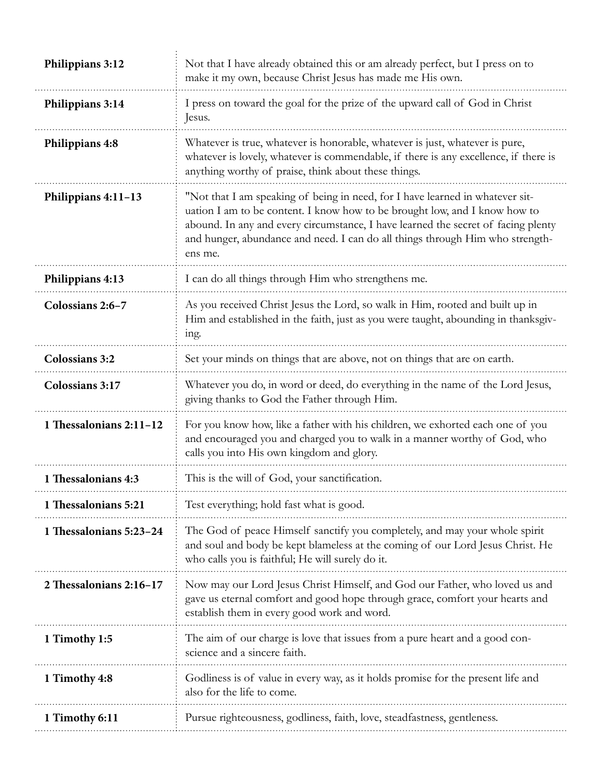| Philippians 3:12        | Not that I have already obtained this or am already perfect, but I press on to<br>make it my own, because Christ Jesus has made me His own.                                                                                                                                                                                                  |
|-------------------------|----------------------------------------------------------------------------------------------------------------------------------------------------------------------------------------------------------------------------------------------------------------------------------------------------------------------------------------------|
| Philippians 3:14        | I press on toward the goal for the prize of the upward call of God in Christ<br>Jesus.                                                                                                                                                                                                                                                       |
| Philippians 4:8         | Whatever is true, whatever is honorable, whatever is just, whatever is pure,<br>whatever is lovely, whatever is commendable, if there is any excellence, if there is<br>anything worthy of praise, think about these things.                                                                                                                 |
| Philippians 4:11-13     | "Not that I am speaking of being in need, for I have learned in whatever sit-<br>uation I am to be content. I know how to be brought low, and I know how to<br>abound. In any and every circumstance, I have learned the secret of facing plenty<br>and hunger, abundance and need. I can do all things through Him who strength-<br>ens me. |
| Philippians 4:13        | I can do all things through Him who strengthens me.                                                                                                                                                                                                                                                                                          |
| Colossians 2:6-7        | As you received Christ Jesus the Lord, so walk in Him, rooted and built up in<br>Him and established in the faith, just as you were taught, abounding in thanksgiv-<br>ing.                                                                                                                                                                  |
| <b>Colossians 3:2</b>   | Set your minds on things that are above, not on things that are on earth.                                                                                                                                                                                                                                                                    |
| Colossians 3:17         | Whatever you do, in word or deed, do everything in the name of the Lord Jesus,<br>giving thanks to God the Father through Him.                                                                                                                                                                                                               |
| 1 Thessalonians 2:11-12 | For you know how, like a father with his children, we exhorted each one of you<br>and encouraged you and charged you to walk in a manner worthy of God, who<br>calls you into His own kingdom and glory.                                                                                                                                     |
| 1 Thessalonians 4:3     | This is the will of God, your sanctification.                                                                                                                                                                                                                                                                                                |
| 1 Thessalonians 5:21    | Test everything; hold fast what is good.                                                                                                                                                                                                                                                                                                     |
| 1 Thessalonians 5:23-24 | The God of peace Himself sanctify you completely, and may your whole spirit<br>and soul and body be kept blameless at the coming of our Lord Jesus Christ. He<br>who calls you is faithful; He will surely do it.                                                                                                                            |
| 2 Thessalonians 2:16-17 | Now may our Lord Jesus Christ Himself, and God our Father, who loved us and<br>gave us eternal comfort and good hope through grace, comfort your hearts and<br>establish them in every good work and word.                                                                                                                                   |
| 1 Timothy 1:5           | The aim of our charge is love that issues from a pure heart and a good con-<br>science and a sincere faith.                                                                                                                                                                                                                                  |
| 1 Timothy 4:8           | Godliness is of value in every way, as it holds promise for the present life and<br>also for the life to come.                                                                                                                                                                                                                               |
| 1 Timothy 6:11          | Pursue righteousness, godliness, faith, love, steadfastness, gentleness.                                                                                                                                                                                                                                                                     |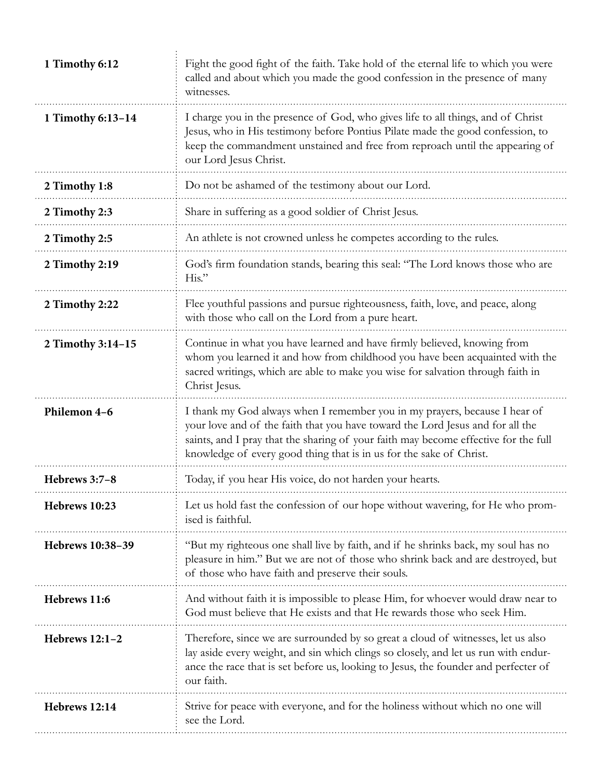| 1 Timothy 6:12    | Fight the good fight of the faith. Take hold of the eternal life to which you were<br>called and about which you made the good confession in the presence of many<br>witnesses.                                                                                                                                            |
|-------------------|----------------------------------------------------------------------------------------------------------------------------------------------------------------------------------------------------------------------------------------------------------------------------------------------------------------------------|
| 1 Timothy 6:13-14 | I charge you in the presence of God, who gives life to all things, and of Christ<br>Jesus, who in His testimony before Pontius Pilate made the good confession, to<br>keep the commandment unstained and free from reproach until the appearing of<br>our Lord Jesus Christ.                                               |
| 2 Timothy 1:8     | Do not be ashamed of the testimony about our Lord.                                                                                                                                                                                                                                                                         |
| 2 Timothy 2:3     | Share in suffering as a good soldier of Christ Jesus.                                                                                                                                                                                                                                                                      |
| 2 Timothy 2:5     | An athlete is not crowned unless he competes according to the rules.                                                                                                                                                                                                                                                       |
| 2 Timothy 2:19    | God's firm foundation stands, bearing this seal: "The Lord knows those who are<br>$His.$ "                                                                                                                                                                                                                                 |
| 2 Timothy 2:22    | Flee youthful passions and pursue righteousness, faith, love, and peace, along<br>with those who call on the Lord from a pure heart.                                                                                                                                                                                       |
| 2 Timothy 3:14-15 | Continue in what you have learned and have firmly believed, knowing from<br>whom you learned it and how from childhood you have been acquainted with the<br>sacred writings, which are able to make you wise for salvation through faith in<br>Christ Jesus.                                                               |
| Philemon 4-6      | I thank my God always when I remember you in my prayers, because I hear of<br>your love and of the faith that you have toward the Lord Jesus and for all the<br>saints, and I pray that the sharing of your faith may become effective for the full<br>knowledge of every good thing that is in us for the sake of Christ. |
| Hebrews 3:7-8     | Today, if you hear His voice, do not harden your hearts.                                                                                                                                                                                                                                                                   |
| Hebrews 10:23     | Let us hold fast the confession of our hope without wavering, for He who prom-<br>ised is faithful.                                                                                                                                                                                                                        |
| Hebrews 10:38-39  | "But my righteous one shall live by faith, and if he shrinks back, my soul has no<br>pleasure in him." But we are not of those who shrink back and are destroyed, but<br>of those who have faith and preserve their souls.                                                                                                 |
| Hebrews 11:6      | And without faith it is impossible to please Him, for whoever would draw near to<br>God must believe that He exists and that He rewards those who seek Him.                                                                                                                                                                |
| Hebrews 12:1-2    | Therefore, since we are surrounded by so great a cloud of witnesses, let us also<br>lay aside every weight, and sin which clings so closely, and let us run with endur-<br>ance the race that is set before us, looking to Jesus, the founder and perfecter of<br>our faith.                                               |
| Hebrews 12:14     | Strive for peace with everyone, and for the holiness without which no one will<br>see the Lord.                                                                                                                                                                                                                            |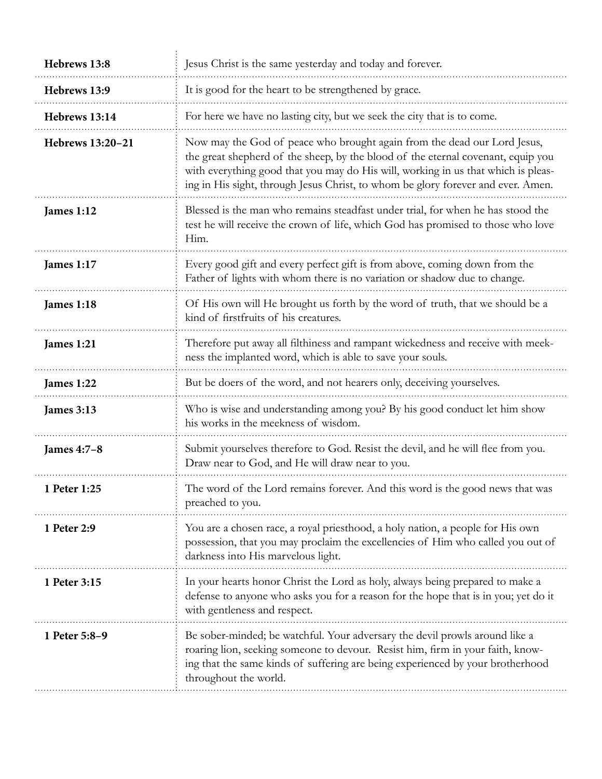| Hebrews 13:8      | Jesus Christ is the same yesterday and today and forever.                                                                                                                                                                                                                                                                             |
|-------------------|---------------------------------------------------------------------------------------------------------------------------------------------------------------------------------------------------------------------------------------------------------------------------------------------------------------------------------------|
| Hebrews 13:9      | It is good for the heart to be strengthened by grace.                                                                                                                                                                                                                                                                                 |
| Hebrews 13:14     | For here we have no lasting city, but we seek the city that is to come.                                                                                                                                                                                                                                                               |
| Hebrews 13:20-21  | Now may the God of peace who brought again from the dead our Lord Jesus,<br>the great shepherd of the sheep, by the blood of the eternal covenant, equip you<br>with everything good that you may do His will, working in us that which is pleas-<br>ing in His sight, through Jesus Christ, to whom be glory forever and ever. Amen. |
| <b>James 1:12</b> | Blessed is the man who remains steadfast under trial, for when he has stood the<br>test he will receive the crown of life, which God has promised to those who love<br>Him.                                                                                                                                                           |
| <b>James 1:17</b> | Every good gift and every perfect gift is from above, coming down from the<br>Father of lights with whom there is no variation or shadow due to change.                                                                                                                                                                               |
| <b>James 1:18</b> | Of His own will He brought us forth by the word of truth, that we should be a<br>kind of firstfruits of his creatures.                                                                                                                                                                                                                |
| James 1:21        | Therefore put away all filthiness and rampant wickedness and receive with meek-<br>ness the implanted word, which is able to save your souls.                                                                                                                                                                                         |
| James 1:22        | But be doers of the word, and not hearers only, deceiving yourselves.                                                                                                                                                                                                                                                                 |
| <b>James 3:13</b> | Who is wise and understanding among you? By his good conduct let him show<br>his works in the meekness of wisdom.                                                                                                                                                                                                                     |
| James 4:7-8       | Submit yourselves therefore to God. Resist the devil, and he will flee from you.<br>Draw near to God, and He will draw near to you.                                                                                                                                                                                                   |
| 1 Peter 1:25      | The word of the Lord remains forever. And this word is the good news that was<br>preached to you.                                                                                                                                                                                                                                     |
| 1 Peter 2:9       | You are a chosen race, a royal priesthood, a holy nation, a people for His own<br>possession, that you may proclaim the excellencies of Him who called you out of<br>darkness into His marvelous light.                                                                                                                               |
| 1 Peter 3:15      | In your hearts honor Christ the Lord as holy, always being prepared to make a<br>defense to anyone who asks you for a reason for the hope that is in you; yet do it<br>with gentleness and respect.                                                                                                                                   |
| 1 Peter 5:8-9     | Be sober-minded; be watchful. Your adversary the devil prowls around like a<br>roaring lion, seeking someone to devour. Resist him, firm in your faith, know-<br>ing that the same kinds of suffering are being experienced by your brotherhood<br>throughout the world.                                                              |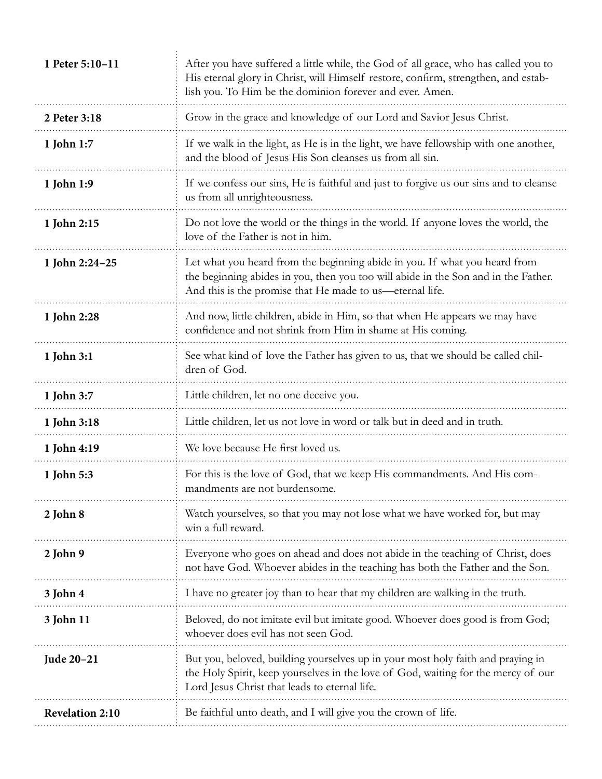| 1 Peter 5:10-11        | After you have suffered a little while, the God of all grace, who has called you to<br>His eternal glory in Christ, will Himself restore, confirm, strengthen, and estab-<br>lish you. To Him be the dominion forever and ever. Amen. |
|------------------------|---------------------------------------------------------------------------------------------------------------------------------------------------------------------------------------------------------------------------------------|
| 2 Peter 3:18           | Grow in the grace and knowledge of our Lord and Savior Jesus Christ.                                                                                                                                                                  |
| 1 John 1:7             | If we walk in the light, as He is in the light, we have fellowship with one another,<br>and the blood of Jesus His Son cleanses us from all sin.                                                                                      |
| 1 John 1:9             | If we confess our sins, He is faithful and just to forgive us our sins and to cleanse<br>us from all unrighteousness.                                                                                                                 |
| 1 John 2:15            | Do not love the world or the things in the world. If anyone loves the world, the<br>love of the Father is not in him.                                                                                                                 |
| 1 John 2:24-25         | Let what you heard from the beginning abide in you. If what you heard from<br>the beginning abides in you, then you too will abide in the Son and in the Father.<br>And this is the promise that He made to us—eternal life.          |
| 1 John 2:28            | And now, little children, abide in Him, so that when He appears we may have<br>confidence and not shrink from Him in shame at His coming.                                                                                             |
| 1 John 3:1             | See what kind of love the Father has given to us, that we should be called chil-<br>dren of God.                                                                                                                                      |
| 1 John 3:7             | Little children, let no one deceive you.                                                                                                                                                                                              |
| 1 John 3:18            | Little children, let us not love in word or talk but in deed and in truth.                                                                                                                                                            |
| 1 John 4:19            | We love because He first loved us.                                                                                                                                                                                                    |
| 1 John 5:3             | For this is the love of God, that we keep His commandments. And His com-<br>mandments are not burdensome.                                                                                                                             |
| 2 John 8               | Watch yourselves, so that you may not lose what we have worked for, but may<br>win a full reward.                                                                                                                                     |
| 2 John 9               | Everyone who goes on ahead and does not abide in the teaching of Christ, does<br>not have God. Whoever abides in the teaching has both the Father and the Son.                                                                        |
| 3 John 4               | I have no greater joy than to hear that my children are walking in the truth.                                                                                                                                                         |
| 3 John 11              | Beloved, do not imitate evil but imitate good. Whoever does good is from God;<br>whoever does evil has not seen God.                                                                                                                  |
| Jude 20-21             | But you, beloved, building yourselves up in your most holy faith and praying in<br>the Holy Spirit, keep yourselves in the love of God, waiting for the mercy of our<br>Lord Jesus Christ that leads to eternal life.                 |
| <b>Revelation 2:10</b> | Be faithful unto death, and I will give you the crown of life.                                                                                                                                                                        |